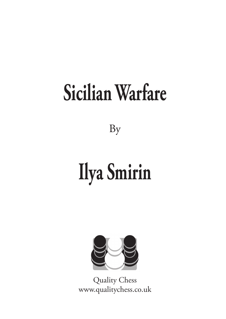### **[Sicilian Warfare](https://www.qualitychess.co.uk/products/1/379/sicilian_warfare_by_ilya_smirin/)**

[By](https://www.qualitychess.co.uk/products/1/379/sicilian_warfare_by_ilya_smirin/)

## **[Ilya Smirin](https://www.qualitychess.co.uk/products/1/379/sicilian_warfare_by_ilya_smirin/)**



[Quality Chess](https://www.qualitychess.co.uk/) [www.qualitychess.co.uk](https://www.qualitychess.co.uk/)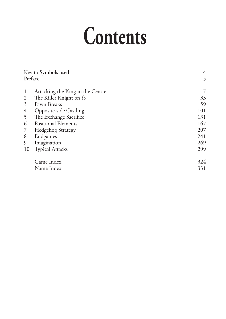### **Contents**

| Key to Symbols used |                                  | 4   |
|---------------------|----------------------------------|-----|
| Preface             |                                  | 5   |
|                     |                                  |     |
| $\mathbf{1}$        | Attacking the King in the Centre |     |
| 2                   | The Killer Knight on f5          | 33  |
| 3                   | Pawn Breaks                      | 59  |
| 4                   | <b>Opposite-side Castling</b>    | 101 |
| 5                   | The Exchange Sacrifice           | 131 |
| 6                   | <b>Positional Elements</b>       | 167 |
| 7                   | <b>Hedgehog Strategy</b>         | 207 |
| 8                   | Endgames                         | 241 |
| 9                   | Imagination                      | 269 |
| 10                  | <b>Typical Attacks</b>           | 299 |
|                     | Game Index                       | 324 |
|                     | Name Index                       | 331 |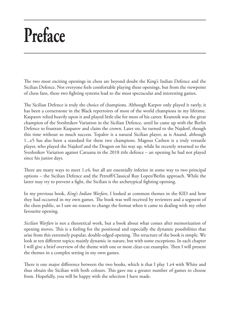### **Preface**

The two most exciting openings in chess are beyond doubt the King's Indian Defence and the Sicilian Defence. Not everyone feels comfortable playing these openings, but from the viewpoint of chess fans, these two fighting systems lead to the most spectacular and interesting games.

The Sicilian Defence is truly the choice of champions. Although Karpov only played it rarely, it has been a cornerstone in the Black repertoires of most of the world champions in my lifetime. Kasparov relied heavily upon it and played little else for most of his career. Kramnik was the great champion of the Sveshnikov Variation in the Sicilian Defence, until he came up with the Berlin Defence to frustrate Kasparov and claim the crown. Later on, he turned to the Najdorf, though this time without so much success. Topalov is a natural Sicilian player, as is Anand, although 1...e5 has also been a standard for these two champions. Magnus Carlsen is a truly versatile player, who played the Najdorf and the Dragon on his way up, while he recently returned to the Sveshnikov Variation against Caruana in the 2018 title defence – an opening he had not played since his junior days.

There are many ways to meet 1.e4, but all are essentially inferior in some way to two principal options – the Sicilian Defence and the Petroff/Classical Ruy Lopez/Berlin approach. While the latter may try to prevent a fight, the Sicilian is the archetypical fighting opening.

In my previous book, *King's Indian Warfare*, I looked at common themes in the KID and how they had occurred in my own games. The book was well received by reviewers and a segment of the chess public, so I saw no reason to change the format when it came to dealing with my other favourite opening.

*Sicilian Warfare* is not a theoretical work, but a book about what comes after memorization of opening moves. This is a feeling for the positional and especially the dynamic possibilities that arise from this extremely popular, double-edged opening. The structure of the book is simple. We look at ten different topics; mainly dynamic in nature, but with some exceptions. In each chapter I will give a brief overview of the theme with one or more clear-cut examples. Then I will present the themes in a complex setting in my own games.

There is one major difference between the two books, which is that I play 1.e4 with White and thus obtain the Sicilian with both colours. This gave me a greater number of games to choose from. Hopefully, you will be happy with the selection I have made.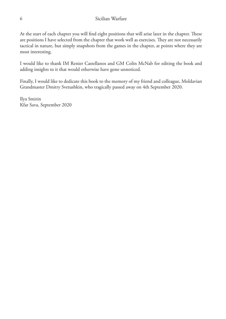At the start of each chapter you will find eight positions that will arise later in the chapter. These are positions I have selected from the chapter that work well as exercises. They are not necessarily tactical in nature, but simply snapshots from the games in the chapter, at points where they are most interesting.

I would like to thank IM Renier Castellanos and GM Colin McNab for editing the book and adding insights to it that would otherwise have gone unnoticed.

Finally, I would like to dedicate this book to the memory of my friend and colleague, Moldavian Grandmaster Dmitry Svetushkin, who tragically passed away on 4th September 2020.

Ilya Smirin Kfar Sava, September 2020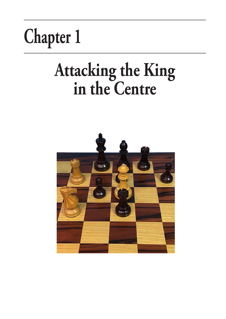

# **Attacking the King in the Centre**

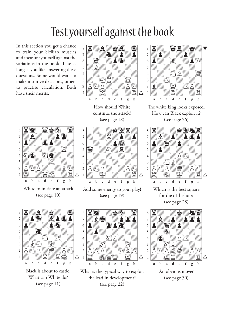### Test yourself against the book

In this section you get a chance to train your Sicilian muscles and measure yourself against the variations in the book. Take as long as you like answering these questions. Some would want to make intuitive decisions, others to practise calculation. Both have their merits.



White to initiate an attack (see page 10)



How should White continue the attack? (see page 18)



Add some energy to your play! (see page 19)



Black is about to castle. What can White do? (see page 11)







The white king looks exposed. How can Black exploit it? (see page 26)



Which is the best square for the c1-bishop? (see page 28)

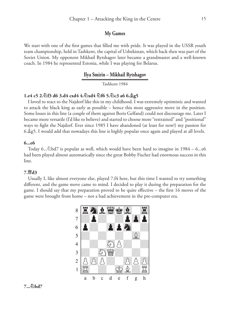#### **My Games**

We start with one of the first games that filled me with pride. It was played in the USSR youth team championship, held in Tashkent, the capital of Uzbekistan, which back then was part of the Soviet Union. My opponent Mikhail Rytshagov later became a grandmaster and a well-known coach. In 1984 he represented Estonia, while I was playing for Belarus.

#### **Ilya Smirin – Mikhail Rytshagov**

Tashkent 1984

#### **1.e4 c5 2.¤f3 d6 3.d4 cxd4 4.¤xd4 ¤f6 5.¤c3 a6 6.¥g5**

I loved to react to the Najdorf like this in my childhood. I was extremely optimistic and wanted to attack the black king as early as possible – hence this most aggressive move in the position. Some losses in this line (a couple of them against Boris Gelfand) could not discourage me. Later I became more versatile (I'd like to believe) and started to choose more "restrained" and "positional" ways to fight the Najdorf. Ever since 1985 I have abandoned (at least for now!) my passion for 6.¥g5. I would add that nowadays this line is highly popular once again and played at all levels.

#### **6...e6**

Today 6... $\&$ bd7 is popular as well, which would have been hard to imagine in 1984 – 6...e6 had been played almost automatically since the great Bobby Fischer had enormous success in this line.

#### **7.£d3**

Usually I, like almost everyone else, played 7.f4 here, but this time I wanted to try something different, and the game move came to mind. I decided to play it during the preparation for the game. I should say that my preparation proved to be quite effective – the first 16 moves of the game were brought from home – not a bad achievement in the pre-computer era.



#### **7...¤bd7**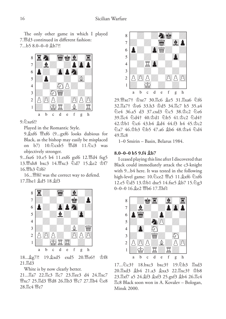The only other game in which I played 7.£d3 continued in different fashion: 7...b5 8.0–0–0 ¥b7?!



#### $9.2 \times 6!$

Played in the Romantic Style.

9. $\&$ xf6  $\mathcal{W}_{X}$ xf6 (9...gxf6 looks dubious for Black, as the bishop may easily be misplaced on b7) 10.¤cxb5 £d8 11.¤c3 was objectively stronger.

9...fxe6 10.e5 b4 11.exf6 gxf6 12. d4 fxg5 13. txh8 bxc3 14. 曾xc3 公d7 15. 兔e2 杏f7 16.£h3 ¤f6?

16... \f6! was the correct way to defend. 17. The1 &d5 18. \$f3



18... g7?! 19. gxd5 exd5 20. 曾e6† 空f8  $21.\overline{\mathbb{Z}}$ d3

White is by now clearly better.

21... <sub>[27</sub> 22. ]c3 <sup>[2</sup>c7 23. ] d4 24. <sup>[2</sup>xc7 **™xc7 25. d3 ™d8 26. db3 ™c7 27. db4 ©e8** 28. gc4 曾e7



29. sxe7† \$xe7 30. kc6 \$e5 31. kxa6 公f6 32. $\mathbb{Z}a7\ddagger \Phi$ e6 33.h3  $\Phi$ d5 34. $\mathbb{Z}c7$  h5 35.a4 ¤e4 36.a5 d3 37.cxd3 ¤c5 38.¢c2 ¤e6 39.¦c4 ¤d4† 40.¢d1 ¤b5 41.¢c2 ¤d4† 42.¢b1 ¤c6 43.b4 ¥d4 44.f3 h4 45.¢c2 ¤a7 46.¢b3 ¤b5 47.a6 ¥b6 48.¢a4 ¤d4 49. gc8

1–0 Smirin – Basin, Belarus 1984.

#### **8.0–0–0 b5 9.f4 ¥b7**

I ceased playing this line after I discovered that Black could immediately attack the c3-knight with 9...b4 here. It was tested in the following high-level game: 10. Dce2  $\mathcal{W}a5$  11.  $\&x$ f6  $\&x$ f6 12.e5 ¤d5 13.¢b1 dxe5 14.fxe5 ¥b7 15.¤g3  $0-0-0$  16.  $\&e2$   $\mathbb{W}$ b6 17.  $\mathbb{E}$ hf1



 $17...\&c3$ †  $18.\text{bxc}$ 3  $\text{bxc}$ 3†  $19.\&c3$ <sub>b</sub>3  $\&c3$ <sub>3</sub> 20. xd3  $$b4$  21.a3  $$xa3$  22. xxc3†  $$b8$ 23. $\mathbb{E}$ xf7 a5 24. $\mathbb{A}$ f3  $\mathbb{A}$ xf3 25.gxf3  $\mathbb{A}$ b4 26. $\mathbb{E}$ c4 ¦c8 Black soon won in A. Kovalev – Bologan, Minsk 2000.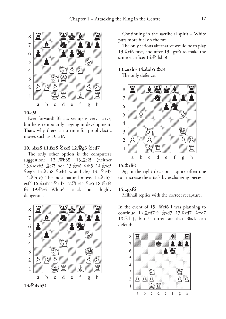

#### **10.e5!**

Ever forward! Black's set-up is very active, but he is temporarily lagging in development. That's why there is no time for prophylactic moves such as 10.a3?.

#### **10...dxe5 11.fxe5 ¤xe5 12.£g3 ¤ed7**

The only other option is the computer's suggestion: 12... *[Puber]* 13. **ge2!** (neither 13. adxb5 \$e7! nor 13. \$f4? ah5 14. \$xe5 ©xg3 15. xb8 ©xh1 would do) 13... ©ed7 14. $\frac{4}{3}$ f4 e5 The most natural move. 15. $\frac{4}{3}$ xb5! exf4 16. xd7† @xd7 17. Ehe1† @e5 18. @xf4 f6 19.2e6 White's attack looks highly dangerous.



**13.¤dxb5!**

Continuing in the sacrificial spirit – White puts more fuel on the fire.

The only serious alternative would be to play 13.¥xf6 first, and after 13...gxf6 to make the same sacrifice: 14.4 dxb5!

#### **13...axb5 14.¥xb5 ¥c8**

The only defence.



#### **15.¥xf6!**

Again the right decision – quite often one can increase the attack by exchanging pieces.

#### **15...gxf6**

Mikhail replies with the correct recapture.

In the event of  $15...$   $\frac{W}{W}$ xf6 I was planning to continue 16. \$xd7†? \$xd7 17. Exd7 \$xd7 18. $\mathbb{E} d1\dagger$ , but it turns out that Black can defend:

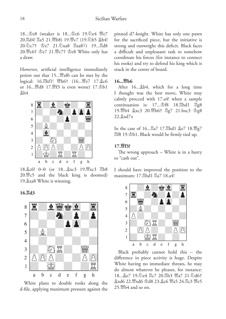18... ce8 (weaker is 18... co 19.2e4  $\mathcal{C}$ e7 20. d4! 骂a5 21. 曾b8) 19. 曾c7 (19. 公b5  $B_1$ b4! 20. ① c7† ① e7 21. ① xa8 国xa8+) 19... 国d8 20. ef \$e7 21. e7† \$e8 White only has a draw.

However, artificial intelligence immediately points out that 15...£xf6 can be met by the logical: 16.<sub>u</sub>hf1! *瞥h6† (16... 暨e7 17.*gc6 or  $16...$   $48 \t17$ .  $8 \t16$  is even worse)  $17 \t{b}$ b $1$  $$b4$ 



18. c6! 0-0 (or 18. txc3 19. lxc3 国b8  $20.\n\%c5$  and the black king is doomed) 19. xa8 White is winning.

**16.¦d3** 



White plans to double rooks along the d-file, applying maximum pressure against the

pinned d7-knight. White has only one pawn for the sacrificed piece, but the initiative is strong and outweighs this deficit. Black faces a difficult and unpleasant task to somehow coordinate his forces (for instance to connect his rooks) and try to defend his king which is stuck in the centre of board.

#### **16. 幽h6**

After 16....\$b4, which for a long time I thought was the best move, White may calmly procced with 17.a4! when a sample continuation is:  $17...\triangle$ f8  $18.\Xi$ hd1  $\Xi$ g8 19. h4 gxc3 20. h6† 骂g7 21.bxc3 g8  $22.$  $\&$ xd7 $\pm$ 

In the case of 16... a7 17. ahd1 ge7 18. 曾g7 ¦f8 19.¢b1, Black would be firmly tied up.

#### **17.£f3?**

The wrong approach – White is in a hurry to "cash out".

I should have improved the position to the maximum: 17. hd1 <sub>2a7</sub> 18.a4!



Black probably cannot hold this – the difference in piece activity is huge. Despite White having no immediate threats, he may do almost whatever he pleases, for instance: 18... ge7 19. he4 骂c7 20. 骂b3 曾a7 21. 2d6† gxd6 22. 曾xd6 空d8 23. gc6 曾a5 24. gc3 曾e5  $25.$   $M\&b4$  and so on.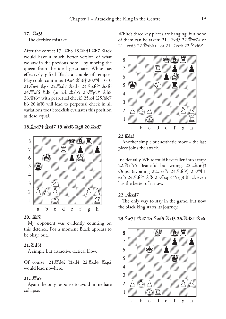#### **17...¦a5?**

The decisive mistake.

After the correct 17... gb8 18. ghd1 gb7 Black would have a much better version of what we saw in the previous note – by moving the queen from the ideal g3-square, White has effectively gifted Black a couple of tempos. Play could continue:  $19.44 \text{ Åh6} \uparrow 20. \text{Åb1 } 0-0$ 21. De4 2g7 22. Exd7 2xd7 23. Dxf6† 2xf6 24. sf6 骂d8 (or 24... 兔xb5 25. 曾g5† 峦h8 26. [f6† with perpetual check) 25.c4 (25. [fe7 h6 26. fo will lead to perpetual check in all variations too) Stockfish evaluates this position as dead equal.

**18.¥xd7† ¥xd7 19.£xf6 ¦g8 20.¦xd7** 



#### **20...¦f5!**

My opponent was evidently counting on this defence. For a moment Black appears to be okay, but...

#### **21.¤d5!**

A simple but attractive tactical blow.

Of course,  $21.\mathbb{W}$ d4?  $\mathbb{W}$ xd4  $22.\mathbb{W}$ xd4  $\mathbb{W}$ xg2 would lead nowhere.

#### **21...£a5**

Again the only response to avoid immediate collapse.

White's three key pieces are hanging, but none of them can be taken:  $21...\overset{3}{\cancel{2}}xd5$   $22.\overset{10}{\cancel{w}}xf7#$  or  $21.$ ...exd5 22. $\mathcal{W}$ xb6+– or  $21.$ ... $\mathbb{R}$ xf6 22. $\mathcal{E}$ xf6#.



#### **22.¦d1!**

Another simple but aesthetic move – the last piece joins the attack.

Incidentally, White could have fallen into a trap: 22.£xf5?? Beautiful but wrong. 22...¥h6†! Oops! (avoiding 22...exf5 23. html 23. html exf5 24.\for \for \for f\\$ 25.\for \ength\$ \for \text{ \for \text{ \for \text{ \for \text{ \for \text{ \for \text{ \for \text{ \for \text{ \for \text{ \for \text{ \for \text{ \for \text{ \for \text{ \for \text{ \for \text{ has the better of it now.

#### **22...¢xd7**

The only way to stay in the game, but now the black king starts its journey.

#### **23.¤e7† ¢c7 24.¤xf5 £xf5 25.£d8† ¢c6**